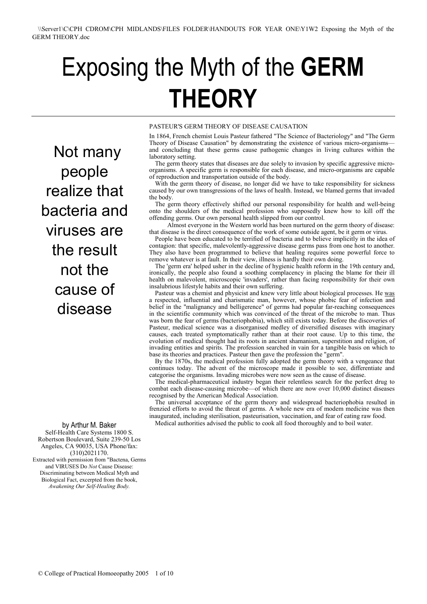# Exposing the Myth of the **GERM THEORY**

# PASTEUR'S GERM THEORY OF DISEASE CAUSATION

In 1864, French chemist Louis Pasteur fathered "The Science of Bacteriology" and "The Germ Theory of Disease Causation" by demonstrating the existence of various micro-organisms and concluding that these germs cause pathogenic changes in living cultures within the laboratory setting.

The germ theory states that diseases are due solely to invasion by specific aggressive microorganisms. A specific germ is responsible for each disease, and micro-organisms are capable of reproduction and transportation outside of the body.

With the germ theory of disease, no longer did we have to take responsibility for sickness caused by our own transgressions of the laws of health. Instead, we blamed germs that invaded the body.

The germ theory effectively shifted our personal responsibility for health and well-being onto the shoulders of the medical profession who supposedly knew how to kill off the offending germs. Our own personal health slipped from our control.

Almost everyone in the Western world has been nurtured on the germ theory of disease: that disease is the direct consequence of the work of some outside agent, be it germ or virus.

People have been educated to be terrified of bacteria and to believe implicitly in the idea of contagion: that specific, malevolently-aggressive disease germs pass from one host to another. They also have been programmed to believe that healing requires some powerful force to remove whatever is at fault. In their view, illness is hardly their own doing.

The 'germ era' helped usher in the decline of hygienic health reform in the 19th century and, ironically, the people also found a soothing complacency in placing the blame for their ill health on malevolent, microscopic 'invaders', rather than facing responsibility for their own insalubrious lifestyle habits and their own suffering.

Pasteur was a chemist and physicist and knew very little about biological processes. He was a respected, influential and charismatic man, however, whose phobic fear of infection and belief in the "malignancy and belligerence" of germs had popular far-reaching consequences in the scientific community which was convinced of the threat of the microbe to man. Thus was born the fear of germs (bacteriophobia), which still exists today. Before the discoveries of Pasteur, medical science was a disorganised medley of diversified diseases with imaginary causes, each treated symptomatically rather than at their root cause. Up to this time, the evolution of medical thought had its roots in ancient shamanism, superstition and religion, of invading entities and spirits. The profession searched in vain for a tangible basis on which to base its theories and practices. Pasteur then gave the profession the "germ".

By the 1870s, the medical profession fully adopted the germ theory with a vengeance that continues today. The advent of the microscope made it possible to see, differentiate and categorise the organisms. Invading microbes were now seen as the cause of disease.

The medical-pharmaceutical industry began their relentless search for the perfect drug to combat each disease-causing microbe—of which there are now over 10,000 distinct diseases recognised by the American Medical Association.

The universal acceptance of the germ theory and widespread bacteriophobia resulted in frenzied efforts to avoid the threat of germs. A whole new era of modem medicine was then inaugurated, including sterilisation, pasteurisation, vaccination, and fear of eating raw food.

Medical authorities advised the public to cook all food thoroughly and to boil water.

Not many people realize that bacteria and viruses are the result not the cause of disease

# by Arthur M. Baker

Self-Health Care Systems 1800 S. Robertson Boulevard, Suite 239-50 Los Angeles, CA 90035, USA Phone/fax: (310)2021170.

Extracted with permission from "Bactena, Germs and VIRUSES Do *Not* Cause Disease: Discriminating between Medical Myth and Biological Fact, excerpted from the book, *Awakening Our Self-Healing Body.*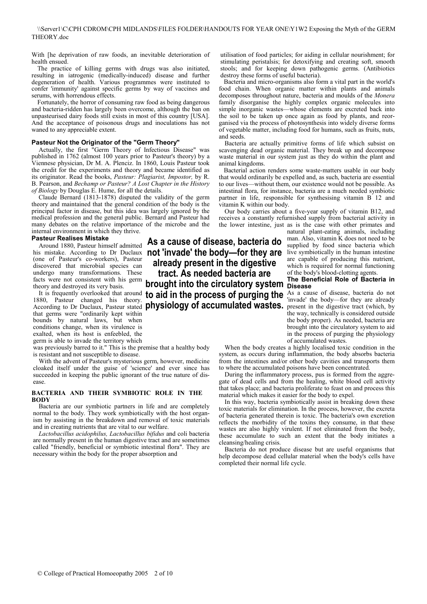With [he deprivation of raw foods, an inevitable deterioration of health ensued.

The practice of killing germs with drugs was also initiated, resulting in iatrogenic (medically-induced) disease and further degeneration of health. Various programmes were instituted to confer 'immunity' against specific germs by way of vaccines and serums, with horrendous effects.

Fortunately, the horror of consuming raw food as being dangerous and bacteria-ridden has largely been overcome, although the ban on unpasteurised dairy foods still exists in most of this country [USA]. And the acceptance of poisonous drugs and inoculations has not waned to any appreciable extent.

#### **Pasteur Not the Originator of the "Germ Theory"**

Actually, the first "Germ Theory of Infectious Disease" was published in 1762 (almost 100 years prior to Pasteur's theory) by a Viennese physician, Dr M. A. Plenciz. In 1860, Louis Pasteur took the credit for the experiments and theory and became identified as its originator. Read the books, *Pasteur: Plagiarist, Impostor,* by R. B. Pearson, and *Bechamp or Pasteur? A Lost Chapter in the History of Biology* by Douglas E. Hume, for all the details.

Claude Bernard (1813-1878) disputed the validity of the germ theory and maintained that the general condition of the body is the principal factor in disease, but this idea was largely ignored by the medical profession and the general public. Bernard and Pasteur had many debates on the relative importance of the microbe and the internal environment in which they thrive.

## **Pasteur Realises Mistake**

Around 1880, Pasteur himself admitted his mistake. According to Dr Duclaux (one of Pasteur's co-workers), Pasteur discovered that microbial species can undergo many transformations. These facts were not consistent with his germ theory and destroyed its very basis.

It is frequently overlooked that around 1880, Pasteur changed his theory. that germs were "ordinarily kept within bounds by natural laws, but when conditions change, when its virulence is exalted, when its host is enfeebled, the germ is able to invade the territory which

was previously barred to it." This is the premise that a healthy body is resistant and not susceptible to disease.

With the advent of Pasteur's mysterious germ, however, medicine cloaked itself under the guise of 'science' and ever since has succeeded in keeping the public ignorant of the true nature of disease.

#### **BACTERIA AND THEIR SYMBIOTIC ROLE IN THE BODY**

Bacteria are our symbiotic partners in life and are completely normal to the body. They work symbiotically with the host organism by assisting in the breakdown and removal of toxic materials and in creating nutrients that are vital to our welfare.

*Lactobacillus acidophilus, Lactobacillus bifidus* and coli bacteria are normally present in the human digestive tract and are sometimes called "friendly, beneficial or symbiotic intestinal flora". They are necessary within the body for the proper absorption and

According to Dr Duclaux, Pasteur stated **physiology of accumulated wastes.Disease brought into the circulatory system As a cause of disease, bacteria do not 'invade' the body—for they are already present in the digestive tract. As needed bacteria are to aid in the process of purging the** 

utilisation of food particles; for aiding in cellular nourishment; for stimulating peristalsis; for detoxifying and creating soft, smooth stools; and for keeping down pathogenic germs. (Antibiotics destroy these forms of useful bacteria).

Bacteria and micro-organisms also form a vital part in the world's food chain. When organic matter within plants and animals decomposes throughout nature, bacteria and moulds of the *Monera* family disorganise the highly complex organic molecules into simple inorganic wastes—whose elements are excreted back into the soil to be taken up once again as food by plants, and reorganised via the process of photosynthesis into widely diverse forms of vegetable matter, including food for humans, such as fruits, nuts, and seeds.

Bacteria are actually primitive forms of life which subsist on scavenging dead organic material. They break up and decompose waste material in our system just as they do within the plant and animal kingdoms.

Bacterial action renders some waste-matters usable in our body that would ordinarily be expelled and, as such, bacteria are essential to our lives—without them, our existence would not be possible. As intestinal flora, for instance, bacteria are a much needed symbiotic partner in life, responsible for synthesising vitamin B 12 and vitamin K within our body.

Our body carries about a five-year supply of vitamin B12, and receives a constantly refurnished supply from bacterial activity in the lower intestine, just as is the case with other primates and

natural plant-eating animals, including man. Also, vitamin K does not need to be supplied by food since bacteria which live symbiotically in the human intestine are capable of producing this nutrient, which is required for normal functioning of the body's blood-clotting agents.

# **The Beneficial Role of Bacteria in**

As a cause of disease, bacteria do not 'invade' the body—for they are already present in the digestive tract (which, by the way, technically is considered outside the body proper). As needed, bacteria are brought into the circulatory system to aid in the process of purging the physiology of accumulated wastes.

When the body creates a highly localised toxic condition in the system, as occurs during inflammation, the body absorbs bacteria from the intestines and/or other body cavities and transports them to where the accumulated poisons have been concentrated.

During the inflammatory process, pus is formed from the aggregate of dead cells and from the healing, white blood cell activity that takes place; and bacteria proliferate to feast on and process this material which makes it easier for the body to expel.

In this way, bacteria symbiotically assist in breaking down these toxic materials for elimination. In the process, however, the excreta of bacteria generated therein is toxic. The bacteria's own excretion reflects the morbidity of the toxins they consume, in that these wastes are also highly virulent. If not eliminated from the body, these accumulate to such an extent that the body initiates a cleansing/healing crisis.

Bacteria do not produce disease but are useful organisms that help decompose dead cellular material when the body's cells have completed their normal life cycle.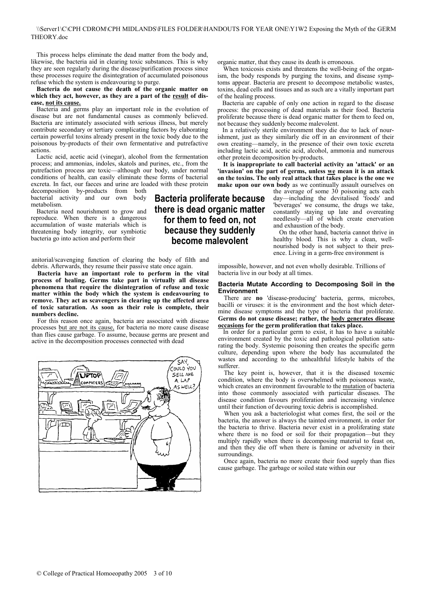# \\Server1\C\CPH CDROM\CPH MIDLANDS\FILES FOLDER\HANDOUTS FOR YEAR ONE\Y1W2 Exposing the Myth of the GERM THEORY.doc

This process helps eliminate the dead matter from the body and, likewise, the bacteria aid in clearing toxic substances. This is why they are seen regularly during the disease/purification process since these processes require the disintegration of accumulated poisonous refuse which the system is endeavouring to purge.

#### **Bacteria do not cause the death of the organic matter on**  which they act, however, as they are a part of the <u>result</u> of dis**ease, not its cause.**

Bacteria and germs play an important role in the evolution of disease but are not fundamental causes as commonly believed. Bacteria are intimately associated with serious illness, but merely contribute secondary or tertiary complicating factors by elaborating certain powerful toxins already present in the toxic body due to the poisonous by-products of their own fermentative and putrefactive actions.

Lactic acid, acetic acid (vinegar), alcohol from the fermentation process; and ammonias, indoles, skatols and purines, etc., from the putrefaction process are toxic—although our body, under normal conditions of health, can easily eliminate these forms of bacterial excreta. In fact, our faeces and urine are loaded with these protein

decomposition by-products from both bacterial activity and our own body metabolism.

Bacteria need nourishment to grow and reproduce. When there is a dangerous accumulation of waste materials which is threatening body integrity, our symbiotic bacteria go into action and perform their

anitorial/scavenging function of clearing the body of filth and debris. Afterwards, they resume their passive state once again.

**Bacteria have an important role to perform in the vital process of healing. Germs take part in virtually all disease phenomena that require the disintegration of refuse and toxic matter within the body which the system is endeavouring to remove. They act as scavengers in clearing up the affected area of toxic saturation. As soon as their role is complete, their numbers decline.**

For this reason once again, bacteria are associated with disease processes but are not its cause, for bacteria no more cause disease than flies cause garbage. To assume, because germs are present and active in the decomposition processes connected with dead



organic matter, that they cause its death is erroneous.

When toxicosis exists and threatens the well-being of the organism, the body responds by purging the toxins, and disease symptoms appear. Bacteria are present to decompose metabolic wastes, toxins, dead cells and tissues and as such are a vitally important part of the healing process.

Bacteria are capable of only one action in regard to the disease process: the processing of dead materials as their food. Bacteria proliferate because there is dead organic matter for them to feed on, not because they suddenly become malevolent.

In a relatively sterile environment they die due to lack of nourishment, just as they similarly die off in an environment of their own creating—namely, in the presence of their own toxic excreta including lactic acid, acetic acid, alcohol, ammonia and numerous other protein decomposition by-products.

**It is inappropriate to call bacterial activity an 'attack' or an 'invasion' on the part of germs, unless we mean it is an attack on the toxins. The only real attack that takes place is the one we make upon our own body** as we continually assault ourselves on

the average of some  $30$  poisoning acts each day—including the devitalised 'foods' and 'beverages' we consume, the drugs we take, constantly staying up late and overeating needlessly—all of which create enervation and exhaustion of the body.

On the other hand, bacteria cannot thrive in healthy blood. This is why a clean, wellnourished body is not subject to their presence. Living in a germ-free environment is

impossible, however, and not even wholly desirable. Trillions of bacteria live in our body at all times.

#### **Bacteria Mutate According to Decomposing Soil in the Environment**

There are **no** 'disease-producing' bacteria, germs, microbes, bacilli or viruses: it is the environment and the host which determine disease symptoms and the type of bacteria that proliferate. **Germs do not cause disease; rather, the body generates disease occasions for the germ proliferation that takes place.**

In order for a particular germ to exist, it has to have a suitable environment created by the toxic and pathological pollution saturating the body. Systemic poisoning then creates the specific germ culture, depending upon where the body has accumulated the wastes and according to the unhealthful lifestyle habits of the sufferer.

The key point is, however, that it is the diseased toxemic condition, where the body is overwhelmed with poisonous waste, which creates an environment favourable to the mutation of bacteria into those commonly associated with particular diseases. The disease condition favours proliferation and increasing virulence until their function of devouring toxic debris is accomplished.

When you ask a bacteriologist what comes first, the soil or the bacteria, the answer is always the tainted environment, in order for the bacteria to thrive. Bacteria never exist in a proliferating state where there is no food or soil for their propagation—but they multiply rapidly when there is decomposing material to feast on, and then they die off when there is famine or adversity in their surroundings.

Once again, bacteria no more create their food supply than flies cause garbage. The garbage or soiled state within our

# **Bacteria proliferate because there is dead organic matter for them to feed on, not because they suddenly**

**become malevolent**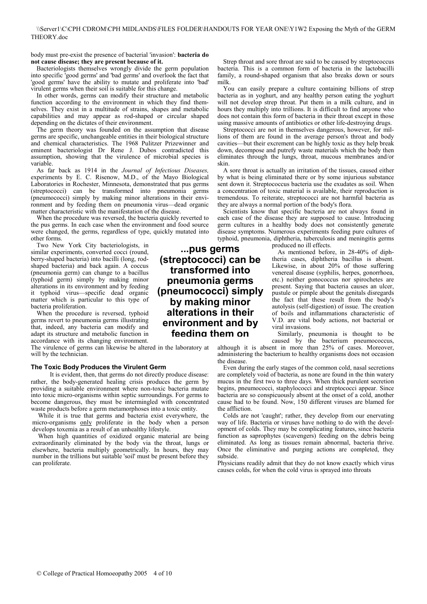body must pre-exist the presence of bacterial 'invasion': **bacteria do not cause disease; they are present because of it.**

Bacteriologists themselves wrongly divide the germ population into specific 'good germs' and 'bad germs' and overlook the fact that 'good germs' have the ability to mutate and proliferate into 'bad' virulent germs when their soil is suitable for this change.

In other words, germs can modify their structure and metabolic function according to the environment in which they find themselves. They exist in a multitude of strains, shapes and metabolic capabilities and may appear as rod-shaped or circular shaped depending on the dictates of their environment.

The germ theory was founded on the assumption that disease germs are specific, unchangeable entities in their biological structure and chemical characteristics. The 1968 Pulitzer Prizewinner and eminent bacteriologist Dr Rene J. Dubos contradicted this assumption, showing that the virulence of microbial species is variable.

As far back as 1914 in the *Journal of Infectious Diseases,*  experiments by E. C. Risenow, M.D., of the Mayo Biological Laboratories in Rochester, Minnesota, demonstrated that pus germs (streptococci) can be transformed into pneumonia germs (pneumococci) simply by making minor alterations in their environment and by feeding them on pneumonia virus—dead organic matter characteristic with the manifestation of the disease.

When the procedure was reversed, the bacteria quickly reverted to the pus germs. In each case when the environment and food source were changed, the germs, regardless of type, quickly mutated into other forms.

Two New York City bacteriologists, in similar experiments, converted cocci (round, berry-shaped bacteria) into bacilli (long, rodshaped bacteria) and back again. A coccus (pneumonia germ) can change to a bacillus (typhoid germ) simply by making minor alterations in its environment and by feeding it typhoid virus—specific dead organic matter which is particular to this type of bacteria proliferation.

When the procedure is reversed, typhoid germs revert to pneumonia germs illustrating that, indeed, any bacteria can modify and adapt its structure and metabolic function in accordance with its changing environment.

The virulence of germs can likewise be altered in the laboratory at will by the technician.

# **The Toxic Body Produces the Virulent Germ**

It is evident, then, that germs do not directly produce disease: rather, the body-generated healing crisis produces the germ by providing a suitable environment where non-toxic bacteria mutate into toxic micro-organisms within septic surroundings. For germs to become dangerous, they must be intermingled with concentrated waste products before a germ metamorphoses into a toxic entity.

While it is true that germs and bacteria exist everywhere, the micro-organisms only proliferate in the body when a person develops toxemia as a result of an unhealthy lifestyle.

When high quantities of oxidized organic material are being extraordinarily eliminated by the body via the throat, lungs or elsewhere, bacteria multiply geometrically. In hours, they may number in the trillions but suitable 'soil' must be present before they can proliferate.

Strep throat and sore throat are said to be caused by streptococcus bacteria. This is a common form of bacteria in the lactobacilli family, a round-shaped organism that also breaks down or sours milk.

You can easily prepare a culture containing billions of strep bacteria as in yoghurt, and any healthy person eating the yoghurt will not develop strep throat. Put them in a milk culture, and in hours they multiply into trillions. It is difficult to find anyone who does not contain this form of bacteria in their throat except in those using massive amounts of antibiotics or other life-destroying drugs.

Streptococci are not in themselves dangerous, however, for millions of them are found in the average person's throat and body cavities—but their excrement can be highly toxic as they help break down, decompose and putrefy waste materials which the body then eliminates through the lungs, throat, mucous membranes and/or skin.

A sore throat is actually an irritation of the tissues, caused either by what is being eliminated there or by some injurious substance sent down it. Streptococcus bacteria use the exudates as soil. When a concentration of toxic material is available, their reproduction is tremendous. To reiterate, streptococci are not harmful bacteria as they are always a normal portion of the body's flora.

Scientists know that specific bacteria are not always found in each case of the disease they are supposed to cause. Introducing germ cultures in a healthy body does not consistently generate disease symptoms. Numerous experiments feeding pure cultures of typhoid, pneumonia, diphtheria, tuberculosis and meningitis germs

produced no ill effects.

As mentioned before, in 28-40% of diphtheria cases, diphtheria bacillus is absent. Likewise, in about 20% of those suffering venereal disease (syphilis, herpes, gonorrhoea, etc.) neither gonococcus nor spirochetes are present. Saying that bacteria causes an ulcer, pustule or pimple about the genitals disregards the fact that these result from the body's autolysis (self-digestion) of issue. The creation of boils and inflammations characteristic of V.D. are vital body actions, not bacterial or viral invasions.

Similarly, pneumonia is thought to be caused by the bacterium pneumococcus,

although it is absent in more than 25% of cases. Moreover, administering the bacterium to healthy organisms does not occasion the disease.

Even during the early stages of the common cold, nasal secretions are completely void of bacteria, as none are found in the thin watery mucus in the first two to three days. When thick purulent secretion begins, pneumococci, staphylococci and streptococci appear. Since bacteria are so conspicuously absent at the onset of a cold, another cause had to be found. Now, 150 different viruses are blamed for the affliction.

Colds are not 'caught'; rather, they develop from our enervating way of life. Bacteria or viruses have nothing to do with the development of colds. They may be complicating features, since bacteria function as saprophytes (scavengers) feeding on the debris being eliminated. As long as tissues remain abnormal, bacteria thrive. Once the eliminative and purging actions are completed, they subside.

Physicians readily admit that they do not know exactly which virus causes colds, for when the cold virus is sprayed into throats

**...pus germs (streptococci) can be transformed into pneumonia germs (pneumococci) simply by making minor alterations in their environment and by feeding them on**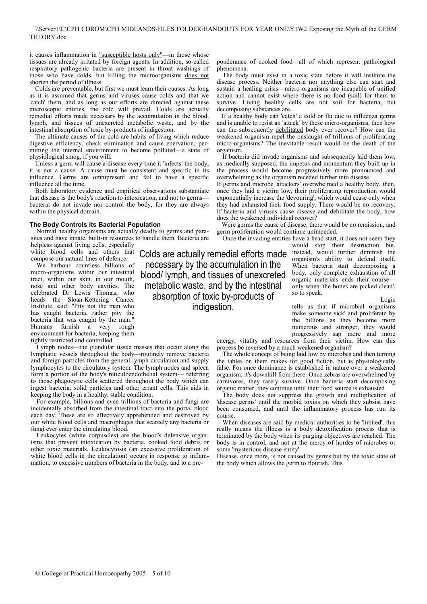# \\Server1\C\CPH CDROM\CPH MIDLANDS\FILES FOLDER\HANDOUTS FOR YEAR ONE\Y1W2 Exposing the Myth of the GERM THEORY.doc

it causes inflammation in "susceptible hosts only"—in those whose tissues are already irritated by foreign agents. In addition, so-called respiratory pathogenic bacteria are present in throat washings of those who have colds, but killing the microorganisms does not shorten the period of illness.

Colds are preventable, but first we must learn their causes. As long as it is assumed that germs and viruses cause colds and that we 'catch' them, and as long as our efforts are directed against these microscopic entities, the cold will prevail. Colds are actually remedial efforts made necessary by the accumulation in the blood, lymph, and tissues of unexcreted metabolic waste, and by the intestinal absorption of toxic by-products of indigestion.

The ultimate causes of the cold are habits of living which reduce digestive efficiency, check elimination and cause enervation, permitting the internal environment to become polluted—a state of physiological smog, if you will.

Unless a germ will cause a disease every time it 'infects' the body, it is not a cause. A cause must be consistent and specific in its influence. Germs are omnipresent and fail to have a specific influence all the time.

Both laboratory evidence and empirical observations substantiate that disease is the body's reaction to intoxication, and not to germs bacteria do not invade nor control the body, for they are always within the physical domain.

#### **The Body Controls its Bacterial Population**

Normal healthy organisms are actually deadly to germs and parasites and have innate, built-in resources to handle them. Bacteria are helpless against living cells, especially

white blood cells and others that compose our natural lines of defence.

We harbour countless billions of micro-organisms within our intestinal tract, within our skin, in our mouth, nose and other body cavities. The celebrated Dr Lewis Thomas, who heads the Sloan-Kettering Cancer Institute, said: "Pity not the man who has caught bacteria, rather pity the bacteria that was caught by the man."<br>Humans furnish a very rough furnish a very rough environment for bacteria, keeping them tightly restricted and controlled.

Lymph nodes—the glandular tissue masses that occur along the lymphatic vessels throughout the body—routinely remove bacteria and foreign particles from the general lymph circulation and supply lymphocytes to the circulatory system. The lymph nodes and spleen form a portion of the body's reticuloendothelial system— referring to those phagocytic cells scattered throughout the body which can ingest bacteria, solid particles and other errant cells. This aids in keeping the body in a healthy, stable condition.

For example, billions and even trillions of bacteria and fungi are incidentally absorbed from the intestinal tract into the portal blood each day. These are so effectively apprehended and destroyed by our white blood cells and macrophages that scarcely any bacteria or fungi ever enter the circulating blood.

Leukocytes (white corpuscles) are the blood's defensive organisms that prevent intoxication by bacteria, cooked food debris or other toxic materials. Leukocytosis (an excessive proliferation of white blood cells in the circulation) occurs in response to inflammation, to excessive numbers of bacteria in the body, and to a pre-

Once the invading entities have a head start, it does not seem they Colds are actually remedial efforts made  $\frac{instead}{example}$ , would further diminish the necessary by the accumulation in the blood/ lymph, and tissues of unexcreted metabolic waste, and by the intestinal absorption of toxic by-products of

indigestion.

ponderance of cooked food—all of which represent pathological phenomena.

The body must exist in a toxic state before it will institute the disease process. Neither bacteria nor anything else can start and sustain a healing crisis—micro-organisms are incapable of unified action and cannot exist where there is no food (soil) for them to survive. Living healthy cells are not soil for bacteria, but decomposing substances are.

If a healthy body can 'catch' a cold or flu due to influenza germs and is unable to resist an 'attack' by these micro-organisms, then how can the subsequently debilitated body ever recover? How can the weakened organism repel the onslaught of trillions of proliferating micro-organisms? The inevitable result would be the death of the organism.

If bacteria did invade organisms and subsequently laid them low, as medically supposed, the impetus and momentum they built up in the process would become progressively more pronounced and overwhelming as the organism receded further into disease.

If germs and microbe 'attackers' overwhelmed a healthy body, then, once they laid a victim low, their proliferating reproduction would exponentially increase the 'devouring', which would cease only when they had exhausted their food supply. There would be no recovery. If bacteria and viruses cause disease and debilitate the body, how does the weakened individual recover?

Were germs the cause of disease, there would be no remission, and germ proliferation would continue unimpeded.

> would stop their destruction but, organism's ability to defend itself. When bacteria start decomposing a body, only complete exhaustion of all organic materials ends their course only when 'the bones are picked clean', so to speak.

Logic

tells us that if microbial organisms make someone sick' and proliferate by the billions as they become more numerous and stronger, they would progressively sap more and more

energy, vitality and resources from their victim. How can this process be reversed by a much weakened organism?

The whole concept of being laid low by microbes and then turning the tables on them makes for good fiction, but is physiologically false. For once dominance is established in nature over a weakened organism, it's downhill from there. Once zebras are overwhelmed by carnivores, they rarely survive. Once bacteria start decomposing organic matter, they continue until their food source is exhausted.

The body does not suppress the growth and multiplication of 'disease germs' until the morbid toxins on which they subsist have been consumed, and until the inflammatory process has run its course.

When diseases are said by medical authorities to be 'limited', this really means the illness is a body detoxification process that is terminated by the body when its purging objectives are reached. The body is in control, and not at the mercy of hordes of microbes or some 'mysterious disease entity'.

Disease, once more, is not caused by germs but by the toxic state of the body which allows the germ to flourish. This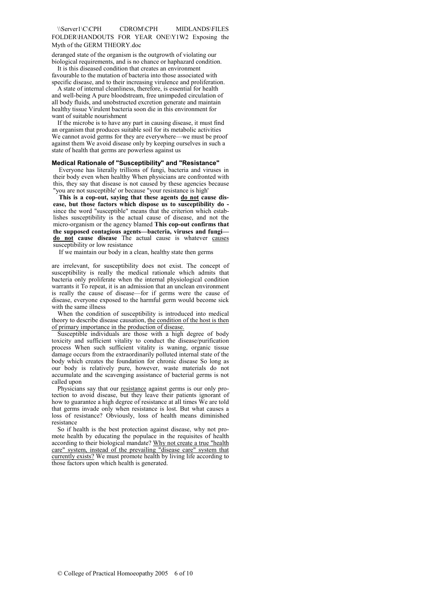# $\N\$ Server1\nC\CPH CDROM $\CPH$  MIDLANDS\FILES FOLDER\HANDOUTS FOR YEAR ONE\Y1W2 Exposing the Myth of the GERM THEORY.doc

deranged state of the organism is the outgrowth of violating our biological requirements, and is no chance or haphazard condition.

It is this diseased condition that creates an environment favourable to the mutation of bacteria into those associated with specific disease, and to their increasing virulence and proliferation.

A state of internal cleanliness, therefore, is essential for health and well-being A pure bloodstream, free unimpeded circulation of all body fluids, and unobstructed excretion generate and maintain healthy tissue Virulent bacteria soon die in this environment for want of suitable nourishment

If the microbe is to have any part in causing disease, it must find an organism that produces suitable soil for its metabolic activities We cannot avoid germs for they are everywhere—we must be proof against them We avoid disease only by keeping ourselves in such a state of health that germs are powerless against us

#### **Medical Rationale of "Susceptibility" and "Resistance"**

Everyone has literally trillions of fungi, bacteria and viruses in their body even when healthy When physicians are confronted with this, they say that disease is not caused by these agencies because "you are not susceptible' or because "your resistance is high'

**This is a cop-out, saying that these agents do not cause disease, but those factors which dispose us to susceptibility do**  since the word "susceptible" means that the criterion which establishes susceptibility is the actual cause of disease, and not the micro-organism or the agency blamed **This cop-out confirms that the supposed contagious agents—bacteria, viruses and fungi do not cause disease** The actual cause is whatever causes susceptibility or low resistance

If we maintain our body in a clean, healthy state then germs

are irrelevant, for susceptibility does not exist. The concept of susceptibility is really the medical rationale which admits that bacteria only proliferate when the internal physiological condition warrants it To repeat, it is an admission that an unclean environment is really the cause of disease—for if germs were the cause of disease, everyone exposed to the harmful germ would become sick with the same illness

When the condition of susceptibility is introduced into medical theory to describe disease causation, the condition of the host is then of primary importance in the production of disease.

Susceptible individuals are those with a high degree of body toxicity and sufficient vitality to conduct the disease/purification process When such sufficient vitality is waning, organic tissue damage occurs from the extraordinarily polluted internal state of the body which creates the foundation for chronic disease So long as our body is relatively pure, however, waste materials do not accumulate and the scavenging assistance of bacterial germs is not called upon

Physicians say that our resistance against germs is our only protection to avoid disease, but they leave their patients ignorant of how to guarantee a high degree of resistance at all times We are told that germs invade only when resistance is lost. But what causes a loss of resistance? Obviously, loss of health means diminished resistance

So if health is the best protection against disease, why not promote health by educating the populace in the requisites of health according to their biological mandate? Why not create a true "health care" system, instead of the prevailing "disease care" system that currently exists? We must promote health by living life according to those factors upon which health is generated.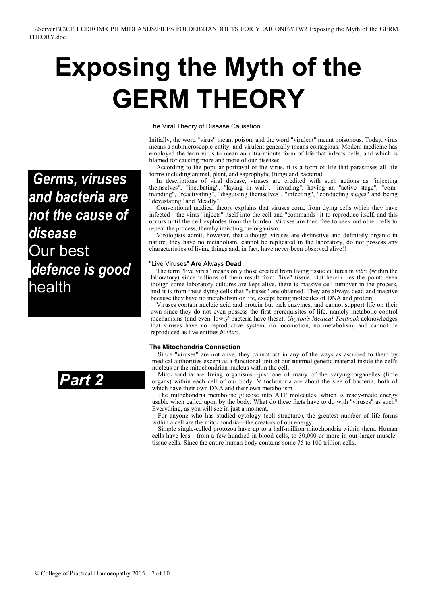# **Exposing the Myth of the GERM THEORY**

*Germs, viruses and bacteria are not the cause of disease*  Our best *defence is good*  health



The Viral Theory of Disease Causation

Initially, the word "virus" meant poison, and the word "virulent" meant poisonous. Today, virus means a submicroscopic entity, and virulent generally means contagious. Modem medicine has employed the term virus to mean an ultra-minute form of life that infects cells, and which is blamed for causing more and more of our diseases.

According to the popular portrayal of the virus, it is a form of life that parasitises all life forms including animal, plant, and saprophytic (fungi and bacteria).

In descriptions of viral disease, viruses are credited with such actions as "injecting themselves", "incubating", "laying in wait", "invading", having an "active stage", "commanding", "reactivating", "disguising themselves", "infecting", "conducting sieges" and being "devastating" and "deadly".

Conventional medical theory explains that viruses come from dying cells which they have infected—the virus "injects" itself into the cell and "commands" it to reproduce itself, and this occurs until the cell explodes from the burden. Viruses are then free to seek out other cells to repeat the process, thereby infecting the organism.

Virologists admit, however, that although viruses are distinctive and definitely organic in nature, they have no metabolism, cannot be replicated in the laboratory, do not possess any characteristics of living things and, in fact, have never been observed alive!!

#### "Live Viruses" **Are** Always **Dead**

The term "live virus" means only those created from living tissue cultures in *vitro* (within the laboratory) since trillions of them result from "live" tissue. But herein lies the point: even though some laboratory cultures are kept alive, there is massive cell turnover in the process, and it is from these dying cells that "viruses" are obtained. They are always dead and inactive because they have no metabolism or life, except being molecules of DNA and protein.

Viruses contain nucleic acid and protein but lack enzymes, and cannot support life on their own since they do not even possess the first prerequisites of life, namely metabolic control mechanisms (and even 'lowly' bacteria have these). *Guyton's Medical Textbook* acknowledges that viruses have no reproductive system, no locomotion, no metabolism, and cannot be reproduced as live entities *in vitro.*

#### **The Mitochondria Connection**

Since "viruses" are not alive, they cannot act in any of the ways as ascribed to them by medical authorities except as a functional unit of our **normal** genetic material inside the cell's nucleus or the mitochondrian nucleus within the cell.

Mitochondria are living organisms—just one of many of the varying organelles (little organs) within each cell of our body. Mitochondria are about the size of bacteria, both of which have their own DNA and their own metabolism.

The mitochondria metabolise glucose into ATP molecules, which is ready-made energy usable when called upon by the body. What do these facts have to do with "viruses" as such? Everything, as you will see in just a moment.

For anyone who has studied cytology (cell structure), the greatest number of life-forms within a cell are the mitochondria—the creators of our energy.

Simple single-celled protozoa have up to a half-million mitochondria within them. Human cells have less—from a few hundred in blood cells, to 30,000 or more in our larger muscletissue cells. Since the entire human body contains some 75 to 100 trillion cells,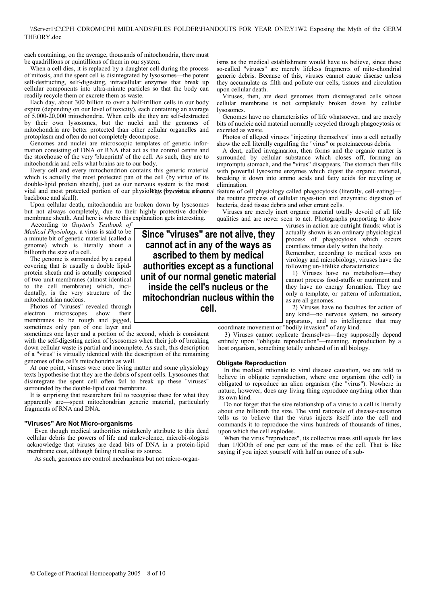each containing, on the average, thousands of mitochondria, there must be quadrillions or quintillions of them in our system.

When a cell dies, it is replaced by a daughter cell during the process of mitosis, and the spent cell is disintegrated by lysosomes—the potent self-destructing, self-digesting, intracellular enzymes that break up cellular components into ultra-minute particles so that the body can readily recycle them or excrete them as waste.

Each day, about 300 billion to over a half-trillion cells in our body expire (depending on our level of toxicity), each containing an average of 5,000-20,000 mitochondria. When cells die they are self-destructed by their own lysosomes, but the nuclei and the genomes of mitochondria are better protected than other cellular organelles and protoplasm and often do not completely decompose.

Genomes and nuclei are microscopic templates of genetic information consisting of DNA or RNA that act as the control centre and the storehouse of the very 'blueprints' of the cell. As such, they are to mitochondria and cells what brains are to our body.

Every cell and every mitochondrion contains this generic material which is actually the most protected pan of the cell (by virtue of its double-lipid protein sheath), just as our nervous system is the most vital and most protected portion of our physiology of the original feature of cell physiology called phagocytosis (literally, cell-eating) backbone and skull).

Upon cellular death, mitochondria are broken down by lysosomes but not always completely, due to their highly protective doublemembrane sheath. And here is where this explanation gets interesting.

According to *Guyton's Textbook of Medical Physiology,* a virus is said to be a minute bit of genetic material (called a genome) which is literally about a billionth the size of a cell.

The genome is surrounded by a capsid covering that is usually a double lipidprotein sheath and is actually composed of two unit membranes (almost identical to the cell membrane) which, incidentally, is the very structure of the mitochondrian nucleus.

Photos of "viruses" revealed through electron microscopes show their membranes to be rough and jagged. sometimes only pan of one layer and

sometimes one layer and a portion of the second, which is consistent with the self-digesting action of lysosomes when their job of breaking down cellular waste is partial and incomplete. As such, this description of a "virus" is virtually identical with the description of the remaining genomes of the cell's mitochondria as well.

At one point, viruses were once living matter and some physiology texts hypothesise that they are the debris of spent cells. Lysosomes that disintegrate the spent cell often fail to break up these "viruses" surrounded by the double-lipid coat membrane.

It is surprising that researchers fail to recognise these for what they apparently are—spent mitochondrian generic material, particularly fragments of RNA and DNA.

# **"Viruses" Are Not Micro-organisms**

Even though medical authorities mistakenly attribute to this dead cellular debris the powers of life and malevolence, microbi-ologists acknowledge that viruses are dead bits of DNA in a protein-lipid membrane coat, although failing it realise its source.

As such, genomes are control mechanisms but not micro-organ-

isms as the medical establishment would have us believe, since these so-called "viruses" are merely lifeless fragments of mito-chondrial generic debris. Because of this, viruses cannot cause disease unless they accumulate as filth and pollute our cells, tissues and circulation upon cellular death.

Viruses, then, are dead genomes from disintegrated cells whose cellular membrane is not completely broken down by cellular lysosomes.

Genomes have no characteristics of life whatsoever, and are merely bits of nucleic acid material normally recycled through phagocytosis or excreted as waste.

Photos of alleged viruses "injecting themselves" into a cell actually show the cell literally engulfing the "virus" or proteinaceous debris.

A dent, called invaginarion, then forms and the organic matter is surrounded by cellular substance which closes off, forming an impromptu stomach, and the "virus" disappears. The stomach then fills with powerful lysosome enzymes which digest the organic material, breaking it down into ammo acids and fatty acids for recycling or elimination.

the routine process of cellular inges-tion and enzymatic digestion of bacteria, dead tissue debris and other errant cells.

Viruses are merely inert organic material totally devoid of all life qualities and are never seen to act. Photographs purporting to show

viruses in action are outright frauds: what is actually shown is an ordinary physiological process of phagocytosis which occurs countless times daily within the body.

Remember, according to medical texts on virology and microbiology, viruses have the following un-lifelike characteristics:

1) Viruses have no metabolism—they cannot process food-stuffs or nutriment and they have no energy formation. They are only a template, or pattern of information, as are all genomes.

2) Viruses have no faculties for action of any kind—no nervous system, no sensory apparatus, and no intelligence that may coordinate movement or "bodily invasion" of any kind.

3) Viruses cannot replicate themselves—they supposedly depend entirely upon "obligate reproduction"—meaning, reproduction by a host organism, something totally unheard of in all biology.

# **Obligate Reproduction**

In the medical rationale to viral disease causation, we are told to believe in obligate reproduction, where one organism (the cell) is obligated to reproduce an alien organism (the "virus"). Nowhere in nature, however, does any living thing reproduce anything other than its own kind.

Do not forget that the size relationship of a virus to a cell is literally about one billionth the size. The viral rationale of disease-causation tells us to believe that the virus injects itself into the cell and commands it to reproduce the virus hundreds of thousands of times, upon which the cell explodes.

When the virus "reproduces", its collective mass still equals far less than 1/lOOth of one per cent of the mass of the cell. That is like saying if you inject yourself with half an ounce of a sub-

**Since "viruses" are not alive, they cannot act in any of the ways as ascribed to them by medical authorities except as a functional unit of our normal genetic material inside the cell's nucleus or the mitochondrian nucleus within the cell.**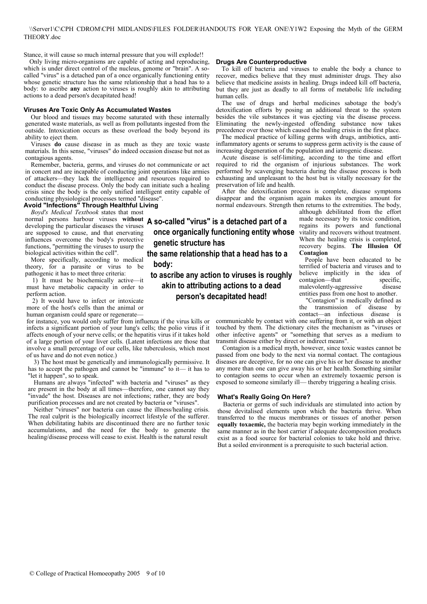Stance, it will cause so much internal pressure that you will explode!!

Only living micro-organisms are capable of acting and reproducing, which is under direct control of the nucleus, genome or "brain". A socalled "virus" is a detached pan of a once organically functioning entity whose genetic structure has the same relationship that a head has to a body: to ascribe **any** action to viruses is roughly akin to attributing actions to a dead person's decapitated head!

#### **Viruses Are Toxic Only As Accumulated Wastes**

Our blood and tissues may become saturated with these internally generated waste materials, as well as from pollutants ingested from the outside. Intoxication occurs as these overload the body beyond its ability to eject them.

Viruses **do** cause disease in as much as they are toxic waste materials. In this sense, "viruses" do indeed occasion disease but not as contagious agents.

Remember, bacteria, germs, and viruses do not communicate or act in concert and are incapable of conducting joint operations like armies of attackers—they lack the intelligence and resources required to conduct the disease process. Only the body can initiate such a healing crisis since the body is the only unified intelligent entity capable of conducting physiological processes termed "disease".

# **Avoid "Infections" Through Healthful Living**

*Boyd's Medical Textbook* states that most normal persons harbour viruses **without A so-called "virus" is a detached part of a**  developing the particular diseases the viruses are supposed to cause, and that enervating influences overcome the body's protective functions, "permitting the viruses to usurp the biological activities within the cell".

More specifically, according to medical theory, for a parasite or virus to be pathogenic it has to meet three criteria:

1) It must be biochemically active—it must have metabolic capacity in order to perform action.

2) It would have to infect or intoxicate more of the host's cells than the animal or

human organism could spare or regenerate—

for instance, you would only suffer from influenza if the virus kills or infects a significant portion of your lung's cells; the polio virus if it affects enough of your nerve cells; or the hepatitis virus if it takes hold of a large portion of your liver cells. (Latent infections are those that involve a small percentage of our cells, like tuberculosis, which most of us have and do not even notice.)

3) The host must be genetically and immunologically permissive. It has to accept the pathogen and cannot be "immune" to it— it has to "let it happen", so to speak.

Humans are always "infected" with bacteria and "viruses" as they are present in the body at all times—therefore, one cannot say they "invade" the host. Diseases are not infections; rather, they are body purification processes and are not created by bacteria or "viruses".

Neither "viruses" nor bacteria can cause the illness/healing crisis. The real culprit is the biologically incorrect lifestyle of the sufferer. When debilitating habits are discontinued there are no further toxic accumulations, and the need for the body to generate the healing/disease process will cease to exist. Health is the natural result

#### **Drugs Are Counterproductive**

To kill off bacteria and viruses to enable the body a chance to recover, medics believe that they must administer drugs. They also believe that medicine assists in healing. Drugs indeed kill off bacteria, but they are just as deadly to all forms of metabolic life including human cells.

The use of drugs and herbal medicines sabotage the body's detoxification efforts by posing an additional threat to the system besides the vile substances it was ejecting via the disease process. Eliminating the newly-ingested offending substance now takes precedence over those which caused the healing crisis in the first place.

The medical practice of killing germs with drugs, antibiotics, antiinflammatory agents or serums to suppress germ activity is the cause of increasing degeneration of the population and iatrogenic disease.

Acute disease is self-limiting, according to the time and effort required to rid the organism of injurious substances. The work performed by scavenging bacteria during the disease process is both exhausting and unpleasant to the host but is vitally necessary for the preservation of life and health.

After the detoxification process is complete, disease symptoms disappear and the organism again makes its energies amount for normal endeavours. Strength then returns to the extremities. The body,

**once organically functioning entity whose genetic structure has**

**the same relationship that a head has to a body:**

**to ascribe any action to viruses is roughly akin to attributing actions to a dead person's decapitated head!**

although debilitated from the effort made necessary by its toxic condition, regains its powers and functional vitality and recovers without treatment. When the healing crisis is completed, recovery begins. **The Illusion Of Contagion**

People have been educated to be terrified of bacteria and viruses and to believe implicitly in the idea of contagion—that specific.  $contaeion$ —that malevolently-aggressive disease entities pass from one host to another.

"Contagion" is medically defined as the transmission of disease by contact—an infectious disease is

communicable by contact with one suffering from it, or with an object touched by them. The dictionary cites the mechanism as "viruses or other infective agents" or "something that serves as a medium to transmit disease either by direct or indirect means".

Contagion is a medical myth, however, since toxic wastes cannot be passed from one body to the next via normal contact. The contagious diseases are deceptive, for no one can give his or her disease to another any more than one can give away his or her health. Something similar to contagion seems to occur when an extremely toxaemic person is exposed to someone similarly ill— thereby triggering a healing crisis.

# **What's Really Going On Here?**

Bacteria or germs of such individuals are stimulated into action by those devitalised elements upon which the bacteria thrive. When transferred to the mucus membranes or tissues of another person **equally toxaemic,** the bacteria may begin working immediately in the same manner as in the host carrier if adequate decomposition products exist as a food source for bacterial colonies to take hold and thrive. But a soiled environment is a prerequisite to such bacterial action.